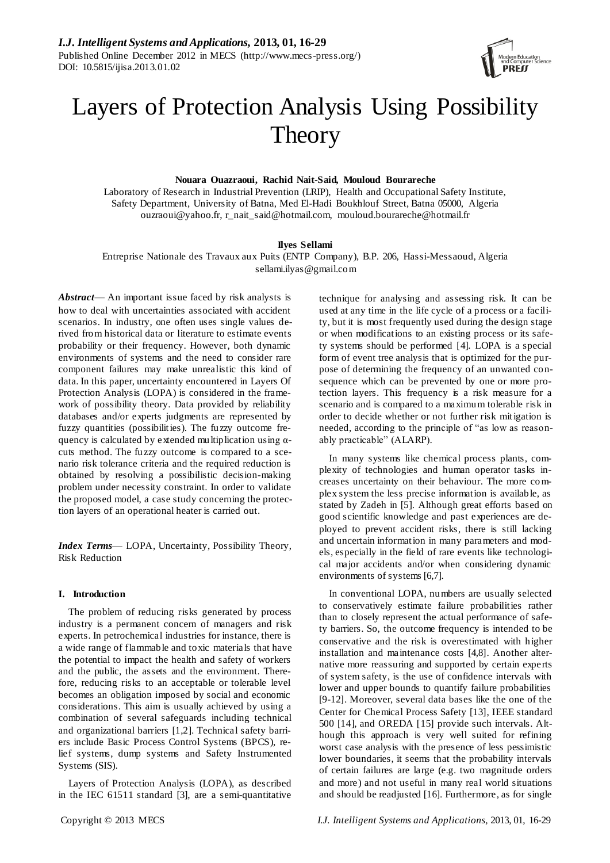

# Layers of Protection Analysis Using Possibility **Theory**

# **Nouara Ouazraoui, Rachid Nait-Said, Mouloud Bourareche**

Laboratory of Research in Industrial Prevention (LRIP), Health and Occupational Safety Institute, Safety Department, University of Batna, Med El-Hadi Boukhlouf Street, Batna 05000, Algeria [ouzraoui@yahoo.fr,](mailto:ouzraoui@yahoo.fr) [r\\_nait\\_said@hotmail.com,](mailto:r_nait_said@hotmail.com) mouloud.bourareche@hotmail.fr

## **Ilyes Sellami**

Entreprise Nationale des Travaux aux Puits (ENTP Company), B.P. 206, Hassi-Messaoud, Algeria [sellami.ilyas@gmail.com](mailto:sellami.ilyas@gmail.com)

*Abstract*— An important issue faced by risk analysts is how to deal with uncertainties associated with accident scenarios. In industry, one often uses single values derived from historical data or literature to estimate events probability or their frequency. However, both dynamic environments of systems and the need to consider rare component failures may make unrealistic this kind of data. In this paper, uncertainty encountered in Layers Of Protection Analysis (LOPA) is considered in the framework of possibility theory. Data provided by reliability databases and/or experts judgments are represented by fuzzy quantities (possibilities). The fuzzy outcome frequency is calculated by extended multiplication using  $\alpha$ cuts method. The fuzzy outcome is compared to a scenario risk tolerance criteria and the required reduction is obtained by resolving a possibilistic decision-making problem under necessity constraint. In order to validate the proposed model, a case study concerning the protection layers of an operational heater is carried out.

*Index Terms*— LOPA, Uncertainty, Possibility Theory, Risk Reduction

# **I. Introduction**

The problem of reducing risks generated by process industry is a permanent concern of managers and risk experts. In petrochemical industries for instance, there is a wide range of flammable and toxic materials that have the potential to impact the health and safety of workers and the public, the assets and the environment. Therefore, reducing risks to an acceptable or tolerable level becomes an obligation imposed by social and economic considerations. This aim is usually achieved by using a combination of several safeguards including technical and organizational barriers [1,2]. Technical safety barriers include Basic Process Control Systems (BPCS), relief systems, dump systems and Safety Instrumented Systems (SIS).

Layers of Protection Analysis (LOPA), as described in the IEC 61511 standard [3], are a semi-quantitative

technique for analysing and assessing risk. It can be used at any time in the life cycle of a process or a facility, but it is most frequently used during the design stage or when modifications to an existing process or its safety systems should be performed [4]. LOPA is a special form of event tree analysis that is optimized for the purpose of determining the frequency of an unwanted consequence which can be prevented by one or more protection layers. This frequency is a risk measure for a scenario and is compared to a maximum tolerable risk in order to decide whether or not further risk mitigation is needed, according to the principle of "as low as reasonably practicable" (ALARP).

In many systems like chemical process plants, complexity of technologies and human operator tasks increases uncertainty on their behaviour. The more complex system the less precise information is available, as stated by Zadeh in [5]. Although great efforts based on good scientific knowledge and past experiences are deployed to prevent accident risks, there is still lacking and uncertain information in many parameters and models, especially in the field of rare events like technological major accidents and/or when considering dynamic environments of systems [6,7].

In conventional LOPA, numbers are usually selected to conservatively estimate failure probabilities rather than to closely represent the actual performance of safety barriers. So, the outcome frequency is intended to be conservative and the risk is overestimated with higher installation and maintenance costs [4,8]. Another alternative more reassuring and supported by certain experts of system safety, is the use of confidence intervals with lower and upper bounds to quantify failure probabilities [9-12]. Moreover, several data bases like the one of the Center for Chemical Process Safety [13], IEEE standard 500 [14], and OREDA [15] provide such intervals. Although this approach is very well suited for refining worst case analysis with the presence of less pessimistic lower boundaries, it seems that the probability intervals of certain failures are large (e.g. two magnitude orders and more) and not useful in many real world situations and should be readjusted [16]. Furthermore, as for single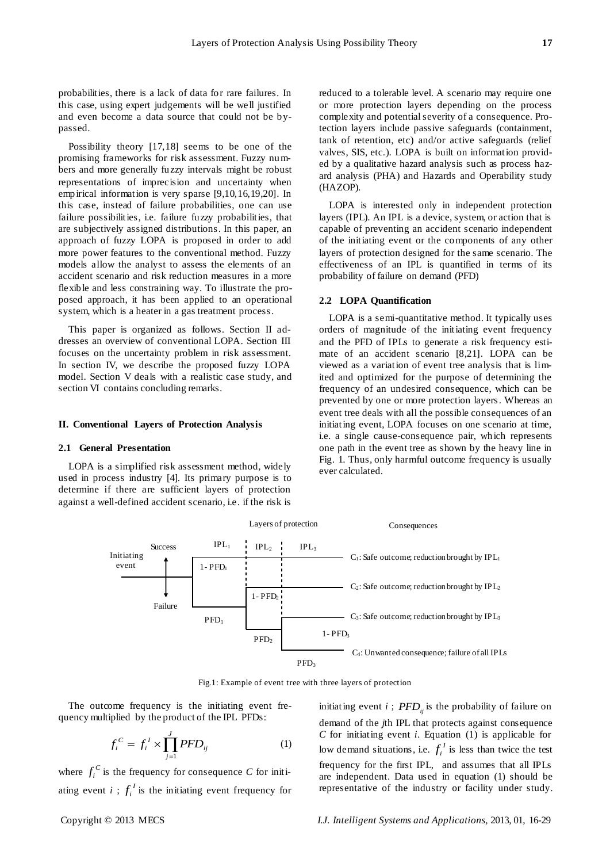probabilities, there is a lack of data for rare failures. In this case, using expert judgements will be well justified and even become a data source that could not be bypassed.

Possibility theory [17,18] seems to be one of the promising frameworks for risk assessment. Fuzzy numbers and more generally fuzzy intervals might be robust representations of imprecision and uncertainty when empirical information is very sparse [9,10,16,19,20]. In this case, instead of failure probabilities, one can use failure possibilities, i.e. failure fuzzy probabilities, that are subjectively assigned distributions. In this paper, an approach of fuzzy LOPA is proposed in order to add more power features to the conventional method. Fuzzy models allow the analyst to assess the elements of an accident scenario and risk reduction measures in a more flexible and less constraining way. To illustrate the proposed approach, it has been applied to an operational system, which is a heater in a gas treatment process.

This paper is organized as follows. Section II addresses an overview of conventional LOPA. Section III focuses on the uncertainty problem in risk assessment. In section IV, we describe the proposed fuzzy LOPA model. Section V deals with a realistic case study, and section VI contains concluding remarks.

## **II. Conventional Layers of Protection Analysis**

#### **2.1 General Presentation**

LOPA is a simplified risk assessment method, widely used in process industry [4]. Its primary purpose is to determine if there are sufficient layers of protection against a well-defined accident scenario, i.e. if the risk is reduced to a tolerable level. A scenario may require one or more protection layers depending on the process complexity and potential severity of a consequence. Protection layers include passive safeguards (containment, tank of retention, etc) and/or active safeguards (relief valves, SIS, etc.). LOPA is built on information provided by a qualitative hazard analysis such as process hazard analysis (PHA) and Hazards and Operability study (HAZOP).

LOPA is interested only in independent protection layers (IPL). An IPL is a device, system, or action that is capable of preventing an accident scenario independent of the initiating event or the components of any other layers of protection designed for the same scenario. The effectiveness of an IPL is quantified in terms of its probability of failure on demand (PFD)

## **2.2 LOPA Quantification**

LOPA is a semi-quantitative method. It typically uses orders of magnitude of the initiating event frequency and the PFD of IPLs to generate a risk frequency estimate of an accident scenario [8,21]. LOPA can be viewed as a variation of event tree analysis that is limited and optimized for the purpose of determining the frequency of an undesired consequence, which can be prevented by one or more protection layers. Whereas an event tree deals with all the possible consequences of an initiating event, LOPA focuses on one scenario at time, i.e. a single cause-consequence pair, which represents one path in the event tree as shown by the heavy line in Fig. 1. Thus, only harmful outcome frequency is usually ever calculated.



Fig.1: Example of event tree with three layers of protection

The outcome frequency is the initiating event frequency multiplied by the product of the IPL PFDs:

$$
f_i^C = f_i^I \times \prod_{j=1}^J PFD_{ij}
$$
 (1)

where  $f_i^C$  is the frequency for consequence *C* for initiating event *i*;  $f_i^I$  is the initiating event frequency for

initiating event *i*;  $PFD_{ij}$  is the probability of failure on demand of the *j*th IPL that protects against consequence *C* for initiating event *i*. Equation (1) is applicable for low demand situations, i.e.  $f_i^I$  is less than twice the test frequency for the first IPL, and assumes that all IPLs are independent. Data used in equation (1) should be representative of the industry or facility under study.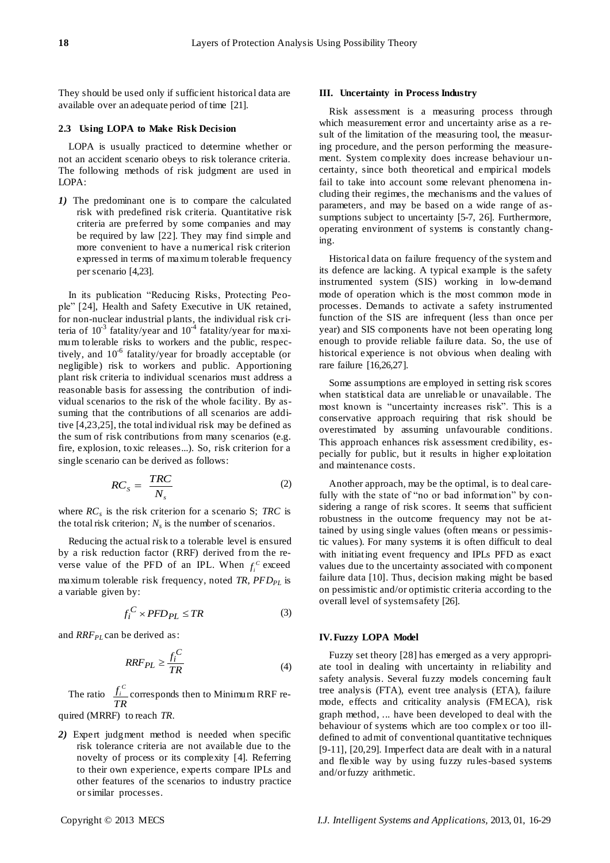They should be used only if sufficient historical data are available over an adequate period of time [21].

# **2.3 Using LOPA to Make Risk Decision**

LOPA is usually practiced to determine whether or not an accident scenario obeys to risk tolerance criteria. The following methods of risk judgment are used in LOPA:

*1)* The predominant one is to compare the calculated risk with predefined risk criteria. Quantitative risk criteria are preferred by some companies and may be required by law [22]. They may find simple and more convenient to have a numerical risk criterion expressed in terms of maximum tolerable frequency per scenario [4,23].

In its publication "Reducing Risks, Protecting People" [24], Health and Safety Executive in UK retained, for non-nuclear industrial plants, the individual risk criteria of  $10^{-3}$  fatality/year and  $10^{-4}$  fatality/year for maximum tolerable risks to workers and the public, respectively, and 10<sup>-6</sup> fatality/year for broadly acceptable (or negligible) risk to workers and public. Apportioning plant risk criteria to individual scenarios must address a reasonable basis for assessing the contribution of individual scenarios to the risk of the whole facility. By assuming that the contributions of all scenarios are additive [4,23,25], the total individual risk may be defined as the sum of risk contributions from many scenarios (e.g. fire, explosion, toxic releases...). So, risk criterion for a single scenario can be derived as follows:

$$
RC_s = \frac{TRC}{N_s} \tag{2}
$$

where *RC<sup>s</sup>* is the risk criterion for a scenario S; *TRC* is the total risk criterion;  $N_s$  is the number of scenarios.

Reducing the actual risk to a tolerable level is ensured by a risk reduction factor (RRF) derived from the reverse value of the PFD of an IPL. When  $f_i^c$  exceed maximum tolerable risk frequency, noted *TR*, *PFDPL* is a variable given by:

$$
f_i^C \times PFD_{PL} \le TR \tag{3}
$$

and *RRF*<sub>*PL*</sub> can be derived as:

$$
RRF_{PL} \ge \frac{f_i^C}{TR}
$$
 (4)

The ratio *TR*  $f_i^c$  corresponds then to Minimum RRF re-

quired (MRRF) to reach *TR*.

*2)* Expert judgment method is needed when specific risk tolerance criteria are not available due to the novelty of process or its complexity [4]. Referring to their own experience, experts compare IPLs and other features of the scenarios to industry practice or similar processes.

## **III. Uncertainty in Process Industry**

Risk assessment is a measuring process through which measurement error and uncertainty arise as a result of the limitation of the measuring tool, the measuring procedure, and the person performing the measurement. System complexity does increase behaviour uncertainty, since both theoretical and empirical models fail to take into account some relevant phenomena including their regimes, the mechanisms and the values of parameters, and may be based on a wide range of assumptions subject to uncertainty [5-7, 26]. Furthermore, operating environment of systems is constantly changing.

Historical data on failure frequency of the system and its defence are lacking. A typical example is the safety instrumented system (SIS) working in low-demand mode of operation which is the most common mode in processes. Demands to activate a safety instrumented function of the SIS are infrequent (less than once per year) and SIS components have not been operating long enough to provide reliable failure data. So, the use of historical experience is not obvious when dealing with rare failure [16,26,27].

Some assumptions are employed in setting risk scores when statistical data are unreliable or unavailable. The most known is "uncertainty increases risk". This is a conservative approach requiring that risk should be overestimated by assuming unfavourable conditions. This approach enhances risk assessment credibility, especially for public, but it results in higher exploitation and maintenance costs.

Another approach, may be the optimal, is to deal carefully with the state of "no or bad information" by considering a range of risk scores. It seems that sufficient robustness in the outcome frequency may not be attained by using single values (often means or pessimistic values). For many systems it is often difficult to deal with initiating event frequency and IPLs PFD as exact values due to the uncertainty associated with component failure data [10]. Thus, decision making might be based on pessimistic and/or optimistic criteria according to the overall level of system safety [26].

### **IV.Fuzzy LOPA Model**

Fuzzy set theory [28] has emerged as a very appropriate tool in dealing with uncertainty in reliability and safety analysis. Several fuzzy models concerning fault tree analysis (FTA), event tree analysis (ETA), failure mode, effects and criticality analysis (FMECA), risk graph method, ... have been developed to deal with the behaviour of systems which are too complex or too illdefined to admit of conventional quantitative techniques [9-11], [20,29]. Imperfect data are dealt with in a natural and flexible way by using fuzzy rules-based systems and/or fuzzy arithmetic.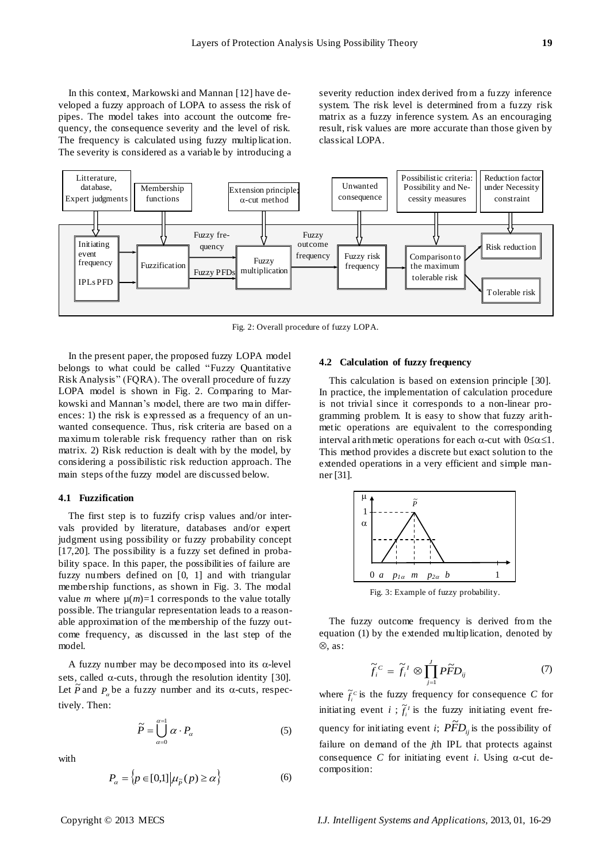The severity is considered as a variable by introducing a

severity reduction index derived from a fuzzy inference system. The risk level is determined from a fuzzy risk matrix as a fuzzy inference system. As an encouraging result, risk values are more accurate than those given by classical LOPA.



Fig. 2: Overall procedure of fuzzy LOPA.

In the present paper, the proposed fuzzy LOPA model belongs to what could be called "Fuzzy Quantitative Risk Analysis" (FQRA). The overall procedure of fuzzy LOPA model is shown in Fig. 2. Comparing to Markowski and Mannan's model, there are two main differences: 1) the risk is expressed as a frequency of an unwanted consequence. Thus, risk criteria are based on a maximum tolerable risk frequency rather than on risk matrix. 2) Risk reduction is dealt with by the model, by considering a possibilistic risk reduction approach. The main steps of the fuzzy model are discussed below.

# **4.1 Fuzzification**

The first step is to fuzzify crisp values and/or intervals provided by literature, databases and/or expert judgment using possibility or fuzzy probability concept [17,20]. The possibility is a fuzzy set defined in probability space. In this paper, the possibilities of failure are fuzzy numbers defined on [0, 1] and with triangular membership functions, as shown in Fig. 3. The modal value *m* where  $\mu(m)=1$  corresponds to the value totally possible. The triangular representation leads to a reasonable approximation of the membership of the fuzzy outcome frequency, as discussed in the last step of the model.

A fuzzy number may be decomposed into its  $\alpha$ -level sets, called  $\alpha$ -cuts, through the resolution identity [30]. Let  $\tilde{P}$  and  $P_a$  be a fuzzy number and its  $\alpha$ -cuts, respectively. Then:

$$
\widetilde{P} = \bigcup_{\alpha=0}^{\alpha=1} \alpha \cdot P_{\alpha} \tag{5}
$$

with

$$
P_{\alpha} = \left\{ p \in [0,1] \middle| \mu_{\tilde{p}}(p) \ge \alpha \right\} \tag{6}
$$

#### **4.2 Calculation of fuzzy frequency**

This calculation is based on extension principle [30]. In practice, the implementation of calculation procedure is not trivial since it corresponds to a non-linear programming problem. It is easy to show that fuzzy arithmetic operations are equivalent to the corresponding interval arithmetic operations for each  $\alpha$ -cut with  $0 \le \alpha \le 1$ . This method provides a discrete but exact solution to the extended operations in a very efficient and simple manner [31].



Fig. 3: Example of fuzzy probability.

The fuzzy outcome frequency is derived from the equation (1) by the extended multiplication, denoted by  $\otimes$ , as:

$$
\widetilde{f}_i^c = \widetilde{f}_i^{\;l} \otimes \prod_{j=1}^J P\widetilde{F}D_{ij} \tag{7}
$$

where  $\tilde{f}_i^c$  is the fuzzy frequency for consequence *C* for initiating event *i*;  $\tilde{f}_i^t$  is the fuzzy initiating event frequency for initiating event *i*;  $\widetilde{PFD}_{ij}$  is the possibility of failure on demand of the *j*th IPL that protects against consequence *C* for initiating event *i*. Using  $\alpha$ -cut decomposition: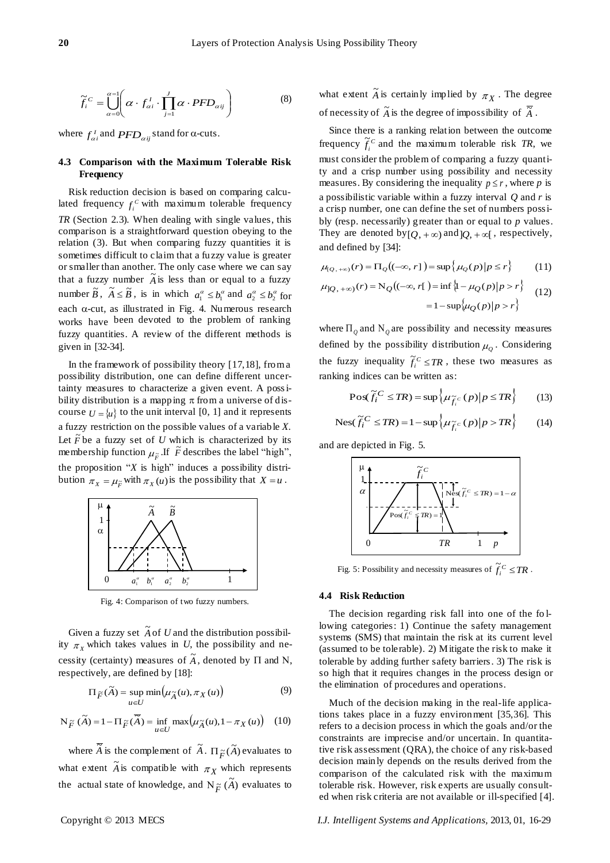$$
\widetilde{f}_i^c = \bigcup_{\alpha=0}^{\alpha=1} \left( \alpha \cdot f_{\alpha i}^l \cdot \prod_{j=1}^J \alpha \cdot PFD_{\alpha ij} \right) \tag{8}
$$

where  $f_{\alpha i}^I$  and  $PFD_{\alpha ij}$  stand for  $\alpha$ -cuts.

# **4.3 Comparison with the Maximum Tolerable Risk Frequency**

 $\int_0^x - \int_{\pi}^1 \int_{\pi}^1 \int_{\pi}^1 \int_{\pi}^1 \int_{\pi}^1 \int_{\pi}^1 \int_{\pi}^1 \int_{\pi}^1 \int_{\pi}^1 \int_{\pi}^1 \int_{\pi}^1 \int_{\pi}^1 \int_{\pi}^1 \int_{\pi}^1 \int_{\pi}^1 \int_{\pi}^1 \int_{\pi}^1 \int_{\pi}^1 \int_{\pi}^1 \int_{\pi}^1 \int_{\pi}^1 \int_{\pi}^1 \int_{\pi}^1 \int_{\pi}^1 \int_{\pi}^1 \int_{\pi}^1 \int_{\pi$ Risk reduction decision is based on comparing calculated frequency  $f_i^c$  with maximum tolerable frequency *TR* (Section 2.3). When dealing with single values, this comparison is a straightforward question obeying to the relation (3). But when comparing fuzzy quantities it is sometimes difficult to claim that a fuzzy value is greater or smaller than another. The only case where we can say that a fuzzy number  $\tilde{A}$  is less than or equal to a fuzzy number  $\widetilde{B}$ ,  $\widetilde{A} \le \widetilde{B}$ , is in which  $a_1^{\alpha} \le b_1^{\alpha}$  and  $a_2^{\alpha} \le b_2^{\alpha}$  for each  $\alpha$ -cut, as illustrated in Fig. 4. Numerous research works have been devoted to the problem of ranking fuzzy quantities. A review of the different methods is given in [32-34].

In the framework of possibility theory [17,18], from a possibility distribution, one can define different uncertainty measures to characterize a given event. A possibility distribution is a mapping  $\pi$  from a universe of discourse  $U = \{u\}$  to the unit interval [0, 1] and it represents a fuzzy restriction on the possible values of a variable *X*. Let  $\tilde{F}$  be a fuzzy set of  $\tilde{U}$  which is characterized by its membership function  $\mu_{\tilde{F}}$ . If  $\tilde{F}$  describes the label "high", the proposition "*X* is high" induces a possibility distribution  $\pi_X = \mu_{\widetilde{F}}$  with  $\pi_X(u)$  is the possibility that  $X = u$ .



Fig. 4: Comparison of two fuzzy numbers.

Given a fuzzy set  $\tilde{A}$  of U and the distribution possibility  $\pi_X$  which takes values in *U*, the possibility and necessity (certainty) measures of  $\tilde{A}$ , denoted by  $\Pi$  and N, respectively, are defined by [18]:

$$
\Pi_{\widetilde{F}}(\widetilde{A}) = \sup_{u \in U} \min(\mu_{\widetilde{A}}(u), \pi_X(u))
$$
\n(9)

$$
N_{\widetilde{F}}(\widetilde{A}) = 1 - \Pi_{\widetilde{F}}(\overline{\widetilde{A}}) = \inf_{u \in U} \max(\mu_{\widetilde{A}}(u), 1 - \pi_X(u)) \quad (10)
$$

where  $\overline{\widetilde{A}}$  is the complement of  $\widetilde{A}$ .  $\Pi_{\widetilde{F}}(\widetilde{A})$  evaluates to what extent  $\tilde{A}$  is compatible with  $\pi_X$  which represents the actual state of knowledge, and  $\overrightarrow{N}_{\tilde{F}}(\tilde{A})$  evaluates to what extent  $\tilde{A}$  is certainly implied by  $\pi_X$ . The degree of necessity of  $\widetilde{A}$  is the degree of impossibility of  $\overline{\widetilde{A}}$ .

Since there is a ranking relation between the outcome frequency  $\tilde{f}_i^c$  and the maximum tolerable risk *TR*, we must consider the problem of comparing a fuzzy quantity and a crisp number using possibility and necessity measures. By considering the inequality  $p \le r$ , where p is a possibilistic variable within a fuzzy interval *Q* and *r* is a crisp number, one can define the set of numbers possibly (resp. necessarily) greater than or equal to *p* values. They are denoted by  $[Q, +\infty)$  and  $]Q, +\infty[$ , respectively, and defined by [34]:

$$
\mu_{[Q,+\infty)}(r) = \Pi_Q((-\infty, r]) = \sup \{ \mu_Q(p) | p \le r \}
$$
 (11)

$$
\mu_{\parallel Q, +\infty}(r) = N_Q((-\infty, r]) = \inf \left\{1 - \mu_Q(p) \middle| p > r \right\}
$$
  
=  $1 - \sup \left\{ \mu_Q(p) \middle| p > r \right\}$  (12)

where  $\Pi_{\varrho}$  and  $N_{\varrho}$  are possibility and necessity measures defined by the possibility distribution  $\mu_{Q}$ . Considering the fuzzy inequality  $\tilde{f}_i^C \leq TR$ , these two measures as ranking indices can be written as:

$$
\text{Pos}(\widetilde{f}_i^C \leq TR) = \sup \left\{ \mu_{\widetilde{f}_i^C}(p) \middle| p \leq TR \right\} \tag{13}
$$

$$
\text{Nes}(\widetilde{f}_i^C \le TR) = 1 - \sup \left\{ \mu_{\widetilde{f}_i^C}(p) \middle| p > TR \right\} \tag{14}
$$

and are depicted in Fig. 5.



Fig. 5: Possibility and necessity measures of  $\widetilde{f}_i^C \leq TR$  .

#### **4.4 Risk Reduction**

The decision regarding risk fall into one of the fo llowing categories: 1) Continue the safety management systems (SMS) that maintain the risk at its current level (assumed to be tolerable). 2) Mitigate the risk to make it tolerable by adding further safety barriers. 3) The risk is so high that it requires changes in the process design or the elimination of procedures and operations.

Much of the decision making in the real-life applications takes place in a fuzzy environment [35,36]. This refers to a decision process in which the goals and/or the constraints are imprecise and/or uncertain. In quantitative risk assessment (QRA), the choice of any risk-based decision mainly depends on the results derived from the comparison of the calculated risk with the maximum tolerable risk. However, risk experts are usually consulted when risk criteria are not available or ill-specified [4].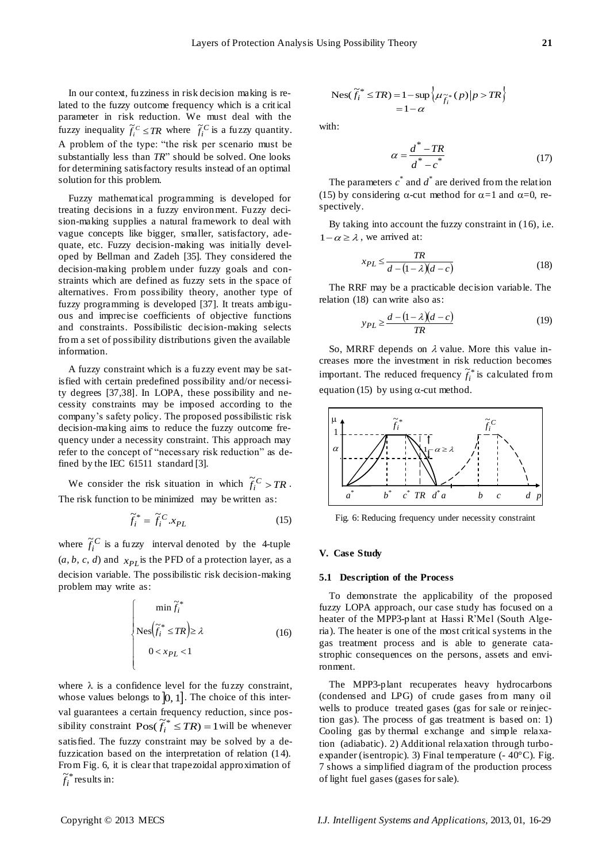In our context, fuzziness in risk decision making is related to the fuzzy outcome frequency which is a crit ical parameter in risk reduction. We must deal with the fuzzy inequality  $\tilde{f}_i^C \leq TR$  where  $\tilde{f}_i^C$  is a fuzzy quantity. A problem of the type: "the risk per scenario must be substantially less than *TR*" should be solved. One looks for determining satisfactory results instead of an optimal solution for this problem.

Fuzzy mathematical programming is developed for treating decisions in a fuzzy environment. Fuzzy decision-making supplies a natural framework to deal with vague concepts like bigger, smaller, satisfactory, adequate, etc. Fuzzy decision-making was initially developed by Bellman and Zadeh [35]. They considered the decision-making problem under fuzzy goals and constraints which are defined as fuzzy sets in the space of alternatives. From possibility theory, another type of fuzzy programming is developed [37]. It treats ambiguous and imprecise coefficients of objective functions and constraints. Possibilistic decision-making selects from a set of possibility distributions given the available information. is a constant linearized in Fold design in the linearized in the sum of the sum of the sum of the sum of the sum of the sum of the sum of the sum of the sum of the sum of the sum of the sum of the sum of the sum of the su

A fuzzy constraint which is a fuzzy event may be satisfied with certain predefined possibility and/or necessity degrees [37,38]. In LOPA, these possibility and necessity constraints may be imposed according to the company's safety policy. The proposed possibilistic risk decision-making aims to reduce the fuzzy outcome frequency under a necessity constraint. This approach may refer to the concept of "necessary risk reduction" as defined by the IEC 61511 standard [3].

We consider the risk situation in which  $\tilde{f}_i^C > TR$ . The risk function to be minimized may be written as:

$$
\widetilde{f}_i^* = \widetilde{f}_i^C . x_{PL} \tag{15}
$$

where  $\tilde{f}_i^C$  is a fuzzy interval denoted by the 4-tuple  $(a, b, c, d)$  and  $x_{PL}$  is the PFD of a protection layer, as a decision variable. The possibilistic risk decision-making problem may write as:

$$
\begin{cases}\n\min \tilde{f}_i^* \\
\text{Nes}\left(\tilde{f}_i^* \leq TR\right) \geq \lambda \\
0 < x_{PL} < 1\n\end{cases} \tag{16}
$$

where  $\lambda$  is a confidence level for the fuzzy constraint, whose values belongs to  $[0, 1]$ . The choice of this interval guarantees a certain frequency reduction, since posvariant extram nequency reduction, since possibility constraint  $\text{Pos}(\tilde{f}_i^* \leq TR) = 1$  will be whenever satisfied. The fuzzy constraint may be solved by a defuzzication based on the interpretation of relation (14). From Fig. 6, it is clear that trapezoidal approximation of  $\tilde{f}_i^*$ 

$$
\operatorname{Nes}(\widetilde{f}_i^* \le TR) = 1 - \sup \left\{ \mu_{\widetilde{f}_i^*}(p) \middle| p > TR \right\}
$$
  
= 1 - \alpha

with:

$$
\alpha = \frac{d^* - TR}{d^* - c^*}
$$
\n(17)

The parameters  $c^*$  and  $d^*$  are derived from the relation (15) by considering  $\alpha$ -cut method for  $\alpha$ =1 and  $\alpha$ =0, respectively.

By taking into account the fuzzy constraint in (16), i.e.  $1 - \alpha \ge \lambda$ , we arrived at:

$$
x_{PL} \le \frac{TR}{d - (1 - \lambda)(d - c)}
$$
(18)

The RRF may be a practicable decision variable. The relation (18) can write also as:

$$
y_{PL} \ge \frac{d - (1 - \lambda)(d - c)}{TR} \tag{19}
$$

So, MRRF depends on  $\lambda$  value. More this value increases more the investment in risk reduction becomes important. The reduced frequency  $\tilde{f}_i^*$  is calculated from equation (15) by using  $\alpha$ -cut method.



Fig. 6: Reducing frequency under necessity constraint

## **V. Case Study**

## **5.1 Description of the Process**

To demonstrate the applicability of the proposed fuzzy LOPA approach, our case study has focused on a heater of the MPP3-plant at Hassi R'Mel (South Algeria). The heater is one of the most critical systems in the gas treatment process and is able to generate catastrophic consequences on the persons, assets and environment.

The MPP3-plant recuperates heavy hydrocarbons (condensed and LPG) of crude gases from many oil wells to produce treated gases (gas for sale or reinjection gas). The process of gas treatment is based on: 1) Cooling gas by thermal exchange and simple relaxation (adiabatic). 2) Additional relaxation through turboexpander (isentropic). 3) Final temperature (-40°C). Fig. 7 shows a simplified diagram of the production process of light fuel gases (gases for sale).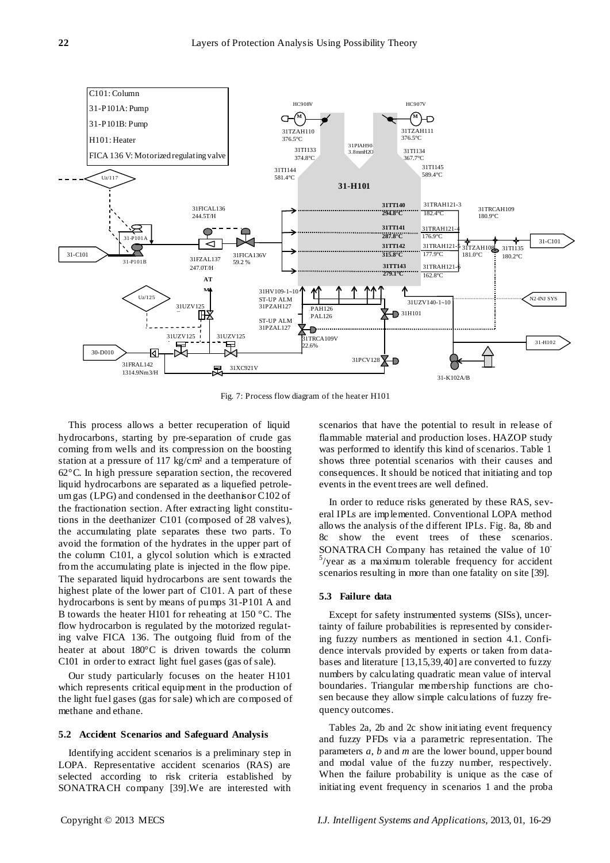

Fig. 7: Process flow diagram of the heater H101

This process allows a better recuperation of liquid hydrocarbons, starting by pre-separation of crude gas coming from wells and its compression on the boosting station at a pressure of 117 kg/cm²and a temperature of 62°C. In high pressure separation section, the recovered liquid hydrocarbons are separated as a liquefied petroleum gas (LPG) and condensed in the deethanisor C102 of the fractionation section. After extracting light constitutions in the deethanizer C101 (composed of 28 valves), the accumulating plate separates these two parts. To avoid the formation of the hydrates in the upper part of the column C101, a glycol solution which is extracted from the accumulating plate is injected in the flow pipe. The separated liquid hydrocarbons are sent towards the highest plate of the lower part of C101. A part of these hydrocarbons is sent by means of pumps 31-P101 A and B towards the heater H101 for reheating at 150 °C. The flow hydrocarbon is regulated by the motorized regulating valve FICA 136. The outgoing fluid from of the heater at about  $180^{\circ}$ C is driven towards the column C101 in order to extract light fuel gases (gas of sale).

Our study particularly focuses on the heater H101 which represents critical equipment in the production of the light fuel gases (gas for sale) which are composed of methane and ethane.

# **5.2 Accident Scenarios and Safeguard Analysis**

Identifying accident scenarios is a preliminary step in LOPA. Representative accident scenarios (RAS) are selected according to risk criteria established by SONATRACH company [39].We are interested with scenarios that have the potential to result in release of flammable material and production loses. HAZOP study was performed to identify this kind of scenarios. Table 1 shows three potential scenarios with their causes and consequences. It should be noticed that initiating and top events in the event trees are well defined.

In order to reduce risks generated by these RAS, several IPLs are implemented. Conventional LOPA method allows the analysis of the different IPLs. Fig. 8a, 8b and 8c show the event trees of these scenarios. SONATRACH Company has retained the value of 10-  $5$ /year as a maximum tolerable frequency for accident scenarios resulting in more than one fatality on site [39].

#### **5.3 Failure data**

Except for safety instrumented systems (SISs), uncertainty of failure probabilities is represented by considering fuzzy numbers as mentioned in section 4.1. Confidence intervals provided by experts or taken from databases and literature [13,15,39,40] are converted to fuzzy numbers by calculating quadratic mean value of interval boundaries. Triangular membership functions are chosen because they allow simple calculations of fuzzy frequency outcomes.

Tables 2a, 2b and 2c show initiating event frequency and fuzzy PFDs via a parametric representation. The parameters *a*, *b* and *m* are the lower bound, upper bound and modal value of the fuzzy number, respectively. When the failure probability is unique as the case of initiating event frequency in scenarios 1 and the proba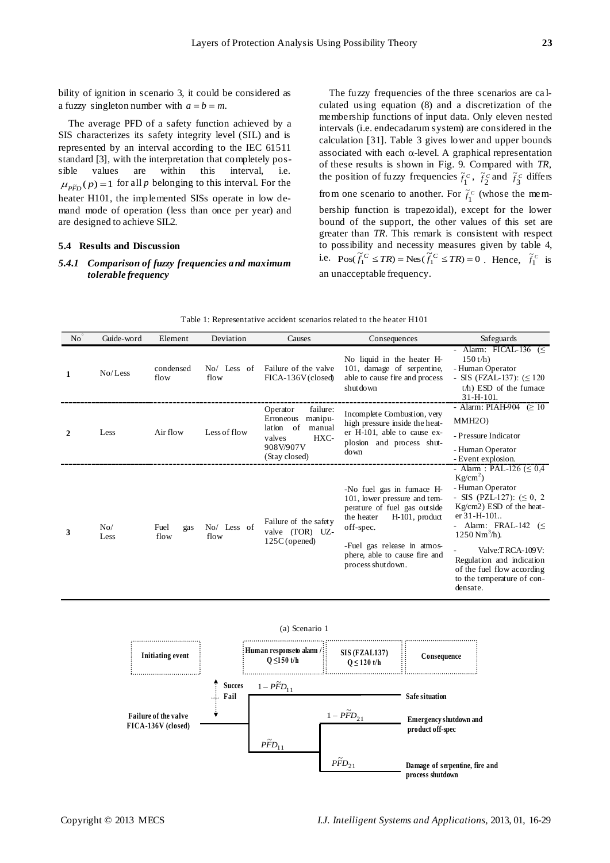bility of ignition in scenario 3, it could be considered as a fuzzy singleton number with  $a = b = m$ .

The average PFD of a safety function achieved by a SIS characterizes its safety integrity level (SIL) and is represented by an interval according to the IEC 61511 standard [3], with the interpretation that completely possible values are within this interval, i.e.  $\mu_{\tilde{P}}(p) = 1$  for all *p* belonging to this interval. For the heater H101, the implemented SISs operate in low demand mode of operation (less than once per year) and are designed to achieve SIL2.

# **5.4 Results and Discussion**

# *5.4.1 Comparison of fuzzy frequencies and maximum tolerable frequency*

The fuzzy frequencies of the three scenarios are ca lculated using equation (8) and a discretization of the membership functions of input data. Only eleven nested intervals (i.e. endecadarum system) are considered in the calculation [31]. Table 3 gives lower and upper bounds associated with each  $\alpha$ -level. A graphical representation of these results is shown in Fig. 9. Compared with *TR*, the position of fuzzy frequencies  $\tilde{f}_1^c$  $ilde{f}_1^c$ ,  $\tilde{f}_2^c$  $\tilde{f}_2^c$  and  $\tilde{f}_3^c$  $\tilde{f}_2^c$  differs from one scenario to another. For  $\tilde{f}_1^c$  $\tilde{f}_1^c$  (whose the membership function is trapezoidal), except for the lower bound of the support, the other values of this set are greater than *TR*. This remark is consistent with respect to possibility and necessity measures given by table 4, i.e.  $Pos(\tilde{f}_1^C \leq TR) = Nes(\tilde{f}_1^C \leq TR) = 0$ . Hence,  $\tilde{f}_1^C$  $ilde{f}_1^c$  is an unacceptable frequency.

| Guide-word<br>N <sub>o</sub>     | Element   | Deviation             | Causes                                                                                                              | Consequences                                                                                                                                                                                                                 | Safeguards                                                                                                                                                                                                                                                                                                                                    |
|----------------------------------|-----------|-----------------------|---------------------------------------------------------------------------------------------------------------------|------------------------------------------------------------------------------------------------------------------------------------------------------------------------------------------------------------------------------|-----------------------------------------------------------------------------------------------------------------------------------------------------------------------------------------------------------------------------------------------------------------------------------------------------------------------------------------------|
| No/Less<br>1<br>flow             | condensed | $No/$ Less of<br>flow | Failure of the valve<br>FICA-136V (closed)                                                                          | No liquid in the heater H-<br>101, damage of serpentine,<br>able to cause fire and process<br>shutdown                                                                                                                       | - Alarm: FICAL-136 $(\leq$<br>$150$ t/h)<br>- Human Operator<br>- SIS (FZAL-137): $( \leq 120$<br>$t/h$ ) ESD of the furnace<br>$31 - H - 101$ .                                                                                                                                                                                              |
| Less<br>$\mathbf{2}$             | Air flow  | Less of flow          | failure:<br>Operator<br>Erroneous<br>manipu-<br>lation of<br>manual<br>HXC-<br>valves<br>908V/907V<br>(Stay closed) | Incomplete Combustion, very<br>high pressure inside the heat-<br>er H-101, able to cause ex-<br>plosion and process shut-<br>down                                                                                            | - Alarm: PIAH-904 $\geq 10$<br>MMH <sub>2O</sub> )<br>- Pressure Indicator<br>- Human Operator<br>- Event explosion.                                                                                                                                                                                                                          |
| No/<br>Fuel<br>3<br>flow<br>Less | gas       | No/ Less of<br>flow   | Failure of the safety<br>valve (TOR) UZ-<br>$125C$ (opened)                                                         | -No fuel gas in furnace H-<br>101, lower pressure and tem-<br>perature of fuel gas outside<br>the heater<br>H-101, product<br>off-spec.<br>-Fuel gas release in atmos-<br>phere, able to cause fire and<br>process shutdown. | - Alarm : PAL-126 ( $\leq 0.4$ )<br>$Kg/cm^2$ )<br>- Human Operator<br>- SIS (PZL-127): $( \leq 0, 2)$<br>Kg/cm2) ESD of the heat-<br>$er 31-H-101.$<br>- Alarm: FRAL-142 $(\leq$<br>$1250 \text{ Nm}^3/\text{h}$ ).<br>Valve:TRCA-109V:<br>Regulation and indication<br>of the fuel flow according<br>to the temperature of con-<br>densate. |

| Table 1: Representative accident scenarios related to the heater H101 |  |  |
|-----------------------------------------------------------------------|--|--|
|-----------------------------------------------------------------------|--|--|

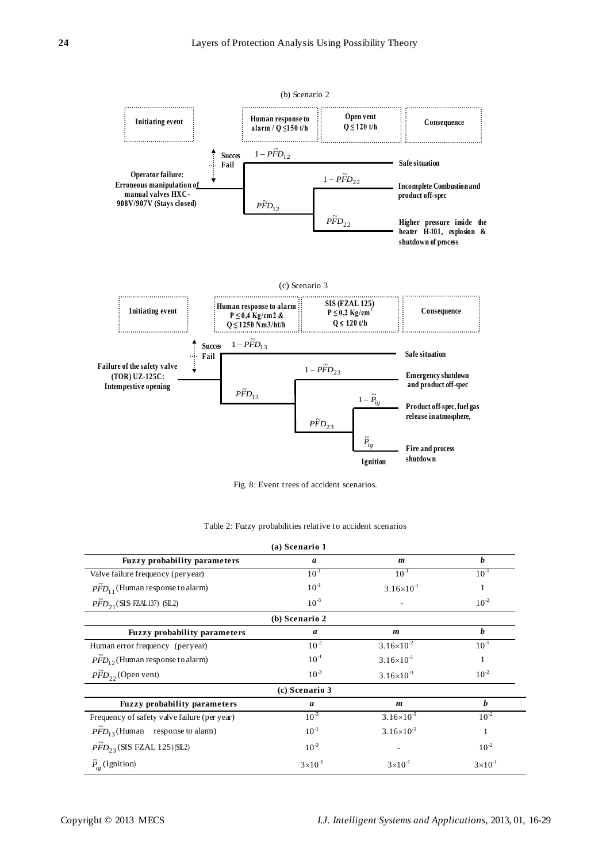

Fig. 8: Event trees of accident scenarios.

Table 2: Fuzzy probabilities relative to accident scenarios

|                                                  | (a) Scenario 1     |                       |                    |
|--------------------------------------------------|--------------------|-----------------------|--------------------|
| <b>Fuzzy probability parameters</b>              | a                  | $\boldsymbol{m}$      | $\boldsymbol{h}$   |
| Valve failure frequency (per year)               | $10^{-1}$          | $10^{-1}$             | $10^{-1}$          |
| $\tilde{PFD}_{11}$ (Human response to alarm)     | $10^{-1}$          | $3.16 \times 10^{-1}$ |                    |
| $\widetilde{PFD}_{2.1}$ (SIS FZAL137) (SIL2)     | $10^{-3}$          |                       | $10^{-2}$          |
|                                                  | (b) Scenario 2     |                       |                    |
| <b>Fuzzy probability parameters</b>              | a                  | $\boldsymbol{m}$      | b                  |
| Human error frequency (per year)                 | $10^{-2}$          | $3.16\times10^{2}$    | $10^{-1}$          |
| $\widetilde{PFD}_{12}$ (Human response to alarm) | $10^{-1}$          | $3.16\times10^{-1}$   | 1                  |
| $\tilde{PFD}_{22}$ (Open vent)                   | $10^{-3}$          | $3.16\times10^{-3}$   | $10^{-2}$          |
|                                                  | (c) Scenario 3     |                       |                    |
| <b>Fuzzy probability parameters</b>              | a                  | $\boldsymbol{m}$      | b                  |
| Frequency of safety valve failure (per year)     | $10^{-3}$          | $3.16\times10^{-3}$   | $10^{-2}$          |
| $\tilde{PFD}_{13}$ (Human response to alarm)     | $10^{-1}$          | $3.16\times10^{-1}$   | $\mathbf{1}$       |
| $\widetilde{PFD}_{23}$ (SIS FZAL 125) (SL2)      | $10^{-3}$          |                       | $10^{-2}$          |
| $\widetilde{P}_{i_{\sigma}}$ (Ignition)          | $3 \times 10^{-1}$ | $3 \times 10^{-1}$    | $3 \times 10^{-1}$ |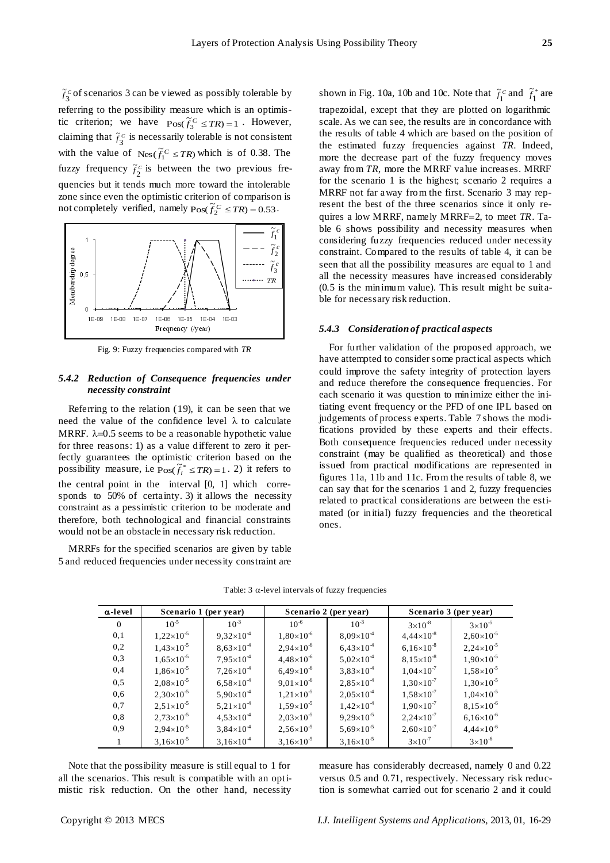

Fig. 9: Fuzzy frequencies compared with *TR*

# *5.4.2 Reduction of Consequence frequencies under necessity constraint*

## *5.4.3 Consideration of practical aspects*

|                                                                                                                                                                                                                                                                                                                                                                                                                                                                                                                                                                                                                                                                                                                                                                                                                                                                                                                                                          |                |                       | $f_2^c$ of scenarios 3 can be viewed as possibly tolerable by                                                                                                                  |                                                                                                                                                                                                                                                                                                                                                                                                                                                                                                                                                                                                                                                                                                                                                                                                                                                                                                                      | shown in Fig. 10a, 10b and 10c. Note that $\tilde{f}_1^c$ and $f_1^*$ are                                                                                                                                                                                                                                                                                                                                                                                                                                                                                                                                                                                                                                                                                                                                                                                                                                                                                                                         |                       |                                                                                                                                                                               |  |
|----------------------------------------------------------------------------------------------------------------------------------------------------------------------------------------------------------------------------------------------------------------------------------------------------------------------------------------------------------------------------------------------------------------------------------------------------------------------------------------------------------------------------------------------------------------------------------------------------------------------------------------------------------------------------------------------------------------------------------------------------------------------------------------------------------------------------------------------------------------------------------------------------------------------------------------------------------|----------------|-----------------------|--------------------------------------------------------------------------------------------------------------------------------------------------------------------------------|----------------------------------------------------------------------------------------------------------------------------------------------------------------------------------------------------------------------------------------------------------------------------------------------------------------------------------------------------------------------------------------------------------------------------------------------------------------------------------------------------------------------------------------------------------------------------------------------------------------------------------------------------------------------------------------------------------------------------------------------------------------------------------------------------------------------------------------------------------------------------------------------------------------------|---------------------------------------------------------------------------------------------------------------------------------------------------------------------------------------------------------------------------------------------------------------------------------------------------------------------------------------------------------------------------------------------------------------------------------------------------------------------------------------------------------------------------------------------------------------------------------------------------------------------------------------------------------------------------------------------------------------------------------------------------------------------------------------------------------------------------------------------------------------------------------------------------------------------------------------------------------------------------------------------------|-----------------------|-------------------------------------------------------------------------------------------------------------------------------------------------------------------------------|--|
| eferring to the possibility measure which is an optimis-<br>ic criterion; we have $Pos(\tilde{f}_3^C \leq TR) = 1$ . However,<br>claiming that $\tilde{f}_3^c$ is necessarily tolerable is not consistent<br>with the value of $\text{Nes}(\tilde{f}_1^C \leq TR)$ which is of 0.38. The<br>fivirily interestingly $\tilde{f}_2^c$ is between the two previous fre-<br>quencies but it tends much more toward the intolerable<br>zone since even the optimistic criterion of comparison is<br>not completely verified, namely $\text{Pos}(\tilde{f}_2^C \leq TR) = 0.53$ .<br>1<br>Membership degree<br>0,5<br>$\cdots \cdots$ $\pi$<br>1E-06 1E-05 1E-04<br>$1E-09$<br>1E-08<br>1E-07<br>1E-03                                                                                                                                                                                                                                                          |                |                       |                                                                                                                                                                                |                                                                                                                                                                                                                                                                                                                                                                                                                                                                                                                                                                                                                                                                                                                                                                                                                                                                                                                      | trapezoidal, except that they are plotted on logarithmic<br>scale. As we can see, the results are in concordance with<br>the results of table 4 which are based on the position of<br>the estimated fuzzy frequencies against TR. Indeed<br>more the decrease part of the fuzzy frequency moves<br>away from TR, more the MRRF value increases. MRRF<br>for the scenario 1 is the highest; scenario 2 requires a<br>MRRF not far away from the first. Scenario 3 may rep-<br>resent the best of the three scenarios since it only re-<br>quires a low MRRF, namely MRRF=2, to meet $TR$ . Ta-<br>ble 6 shows possibility and necessity measures wher<br>considering fuzzy frequencies reduced under necessity<br>constraint. Compared to the results of table 4, it can be<br>seen that all the possibility measures are equal to 1 and<br>all the necessity measures have increased considerably<br>(0.5 is the minimum value). This result might be suita-<br>ble for necessary risk reduction. |                       |                                                                                                                                                                               |  |
|                                                                                                                                                                                                                                                                                                                                                                                                                                                                                                                                                                                                                                                                                                                                                                                                                                                                                                                                                          |                | Frequency (/year)     |                                                                                                                                                                                |                                                                                                                                                                                                                                                                                                                                                                                                                                                                                                                                                                                                                                                                                                                                                                                                                                                                                                                      | 5.4.3 Consideration of practical aspects                                                                                                                                                                                                                                                                                                                                                                                                                                                                                                                                                                                                                                                                                                                                                                                                                                                                                                                                                          |                       |                                                                                                                                                                               |  |
| Fig. 9: Fuzzy frequencies compared with TR<br>5.4.2 Reduction of Consequence frequencies under<br>necessity constraint<br>Referring to the relation $(19)$ , it can be seen that we<br>need the value of the confidence level $\lambda$ to calculate<br>MRRF. $\lambda$ =0.5 seems to be a reasonable hypothetic value<br>for three reasons: 1) as a value different to zero it per-<br>ectly guarantees the optimistic criterion based on the<br>possibility measure, i.e $\text{Pos}(\tilde{f}_i^* \leq TR) = 1.2$ ) it refers to<br>he central point in the interval [0, 1] which corre-<br>sponds to 50% of certainty. 3) it allows the necessity<br>constraint as a pessimistic criterion to be moderate and<br>herefore, both technological and financial constraints<br>would not be an obstacle in necessary risk reduction.<br>MRRFs for the specified scenarios are given by table<br>5 and reduced frequencies under necessity constraint are |                |                       |                                                                                                                                                                                | For further validation of the proposed approach, we<br>have attempted to consider some practical aspects which<br>could improve the safety integrity of protection layers<br>and reduce therefore the consequence frequencies. For<br>each scenario it was question to minimize either the ini-<br>tiating event frequency or the PFD of one IPL based or<br>judgements of process experts. Table 7 shows the modi-<br>fications provided by these experts and their effects<br>Both consequence frequencies reduced under necessity<br>constraint (may be qualified as theoretical) and those<br>issued from practical modifications are represented in<br>figures 11a, 11b and 11c. From the results of table 8, we<br>can say that for the scenarios 1 and 2, fuzzy frequencies<br>related to practical considerations are between the esti-<br>mated (or initial) fuzzy frequencies and the theoretical<br>ones. |                                                                                                                                                                                                                                                                                                                                                                                                                                                                                                                                                                                                                                                                                                                                                                                                                                                                                                                                                                                                   |                       |                                                                                                                                                                               |  |
|                                                                                                                                                                                                                                                                                                                                                                                                                                                                                                                                                                                                                                                                                                                                                                                                                                                                                                                                                          | α-level        | Scenario 1 (per year) |                                                                                                                                                                                |                                                                                                                                                                                                                                                                                                                                                                                                                                                                                                                                                                                                                                                                                                                                                                                                                                                                                                                      | Scenario 2 (per year)                                                                                                                                                                                                                                                                                                                                                                                                                                                                                                                                                                                                                                                                                                                                                                                                                                                                                                                                                                             |                       | Scenario 3 (per year)                                                                                                                                                         |  |
|                                                                                                                                                                                                                                                                                                                                                                                                                                                                                                                                                                                                                                                                                                                                                                                                                                                                                                                                                          | $\overline{0}$ | $10^{-5}$             | $10^{-3}$                                                                                                                                                                      | $10^{-6}$                                                                                                                                                                                                                                                                                                                                                                                                                                                                                                                                                                                                                                                                                                                                                                                                                                                                                                            | $10^{-3}$                                                                                                                                                                                                                                                                                                                                                                                                                                                                                                                                                                                                                                                                                                                                                                                                                                                                                                                                                                                         | $3 \times 10^{-8}$    | $3 \times 10^{-5}$                                                                                                                                                            |  |
|                                                                                                                                                                                                                                                                                                                                                                                                                                                                                                                                                                                                                                                                                                                                                                                                                                                                                                                                                          | 0,1            | $1,22\times10^{-5}$   | $9,32\times10^{4}$                                                                                                                                                             | $1,80\times10^{-6}$                                                                                                                                                                                                                                                                                                                                                                                                                                                                                                                                                                                                                                                                                                                                                                                                                                                                                                  | $8,09\times10^{4}$                                                                                                                                                                                                                                                                                                                                                                                                                                                                                                                                                                                                                                                                                                                                                                                                                                                                                                                                                                                | $4,44 \times 10^{-8}$ | $2,60\times10^{-5}$                                                                                                                                                           |  |
|                                                                                                                                                                                                                                                                                                                                                                                                                                                                                                                                                                                                                                                                                                                                                                                                                                                                                                                                                          | 0,2            | $1,43\times10^{-5}$   | $8,63\times10^{4}$                                                                                                                                                             | $2,94\times10^{-6}$                                                                                                                                                                                                                                                                                                                                                                                                                                                                                                                                                                                                                                                                                                                                                                                                                                                                                                  | $6,43\times10^{4}$                                                                                                                                                                                                                                                                                                                                                                                                                                                                                                                                                                                                                                                                                                                                                                                                                                                                                                                                                                                | $6,16\times10^{-8}$   | $2,24\times10^{-5}$                                                                                                                                                           |  |
|                                                                                                                                                                                                                                                                                                                                                                                                                                                                                                                                                                                                                                                                                                                                                                                                                                                                                                                                                          | 0,3            | $1,65\times10^{-5}$   | $7,95\times10^{4}$                                                                                                                                                             | $4,48\times10^{-6}$                                                                                                                                                                                                                                                                                                                                                                                                                                                                                                                                                                                                                                                                                                                                                                                                                                                                                                  | $5,02\times10^{4}$                                                                                                                                                                                                                                                                                                                                                                                                                                                                                                                                                                                                                                                                                                                                                                                                                                                                                                                                                                                | $8,15\times10^{-8}$   | $1,90\times10^{-5}$                                                                                                                                                           |  |
|                                                                                                                                                                                                                                                                                                                                                                                                                                                                                                                                                                                                                                                                                                                                                                                                                                                                                                                                                          | 0,4            | $1,86\times10^{-5}$   | $7,26\times10^{4}$                                                                                                                                                             | $6,49\times10^{-6}$                                                                                                                                                                                                                                                                                                                                                                                                                                                                                                                                                                                                                                                                                                                                                                                                                                                                                                  | $3,83\times10^{4}$                                                                                                                                                                                                                                                                                                                                                                                                                                                                                                                                                                                                                                                                                                                                                                                                                                                                                                                                                                                | $1,04\times10^{-7}$   | $1,58\times10^{-5}$                                                                                                                                                           |  |
|                                                                                                                                                                                                                                                                                                                                                                                                                                                                                                                                                                                                                                                                                                                                                                                                                                                                                                                                                          | 0,5            | $2,08\times10^{-5}$   | $6,58\times10^{4}$                                                                                                                                                             | $9,01\times10^{-6}$                                                                                                                                                                                                                                                                                                                                                                                                                                                                                                                                                                                                                                                                                                                                                                                                                                                                                                  | $2,85\times10^{4}$                                                                                                                                                                                                                                                                                                                                                                                                                                                                                                                                                                                                                                                                                                                                                                                                                                                                                                                                                                                | $1,30\times10^{-7}$   | $1,30\times10^{-5}$                                                                                                                                                           |  |
|                                                                                                                                                                                                                                                                                                                                                                                                                                                                                                                                                                                                                                                                                                                                                                                                                                                                                                                                                          | 0,6            | $2,30\times10^{-5}$   | $5,90\times10^{4}$                                                                                                                                                             | $1,21\times10^{-5}$                                                                                                                                                                                                                                                                                                                                                                                                                                                                                                                                                                                                                                                                                                                                                                                                                                                                                                  | $2,05\times10^{4}$                                                                                                                                                                                                                                                                                                                                                                                                                                                                                                                                                                                                                                                                                                                                                                                                                                                                                                                                                                                | $1,58\times10^{-7}$   | $1,04\times10^{-5}$                                                                                                                                                           |  |
|                                                                                                                                                                                                                                                                                                                                                                                                                                                                                                                                                                                                                                                                                                                                                                                                                                                                                                                                                          | 0,7            | $2,51\times10^{-5}$   | $5,21\times10^{4}$                                                                                                                                                             | $1,59\times10^{-5}$                                                                                                                                                                                                                                                                                                                                                                                                                                                                                                                                                                                                                                                                                                                                                                                                                                                                                                  | $1,42\times10^{4}$                                                                                                                                                                                                                                                                                                                                                                                                                                                                                                                                                                                                                                                                                                                                                                                                                                                                                                                                                                                | $1,90\times10^{-7}$   | $8,15\times10^{-6}$                                                                                                                                                           |  |
|                                                                                                                                                                                                                                                                                                                                                                                                                                                                                                                                                                                                                                                                                                                                                                                                                                                                                                                                                          | 0,8            | $2,73\times10^{-5}$   | $4,53\times10^{4}$                                                                                                                                                             | $2,03\times10^{-5}$                                                                                                                                                                                                                                                                                                                                                                                                                                                                                                                                                                                                                                                                                                                                                                                                                                                                                                  | $9,29\times10^{-5}$                                                                                                                                                                                                                                                                                                                                                                                                                                                                                                                                                                                                                                                                                                                                                                                                                                                                                                                                                                               | $2,24\times10^{-7}$   | $6,16\times10^{-6}$                                                                                                                                                           |  |
|                                                                                                                                                                                                                                                                                                                                                                                                                                                                                                                                                                                                                                                                                                                                                                                                                                                                                                                                                          | 0,9            | $2,94\times10^{-5}$   | $3,84\times10^{4}$                                                                                                                                                             | $2,56\times10^{-5}$                                                                                                                                                                                                                                                                                                                                                                                                                                                                                                                                                                                                                                                                                                                                                                                                                                                                                                  | $5,69\times10^{-5}$                                                                                                                                                                                                                                                                                                                                                                                                                                                                                                                                                                                                                                                                                                                                                                                                                                                                                                                                                                               | $2,60\times10^{-7}$   | $4,44 \times 10^{-6}$                                                                                                                                                         |  |
|                                                                                                                                                                                                                                                                                                                                                                                                                                                                                                                                                                                                                                                                                                                                                                                                                                                                                                                                                          | $\mathbf{1}$   | $3,16\times10^{-5}$   | $3,16\times10^{4}$                                                                                                                                                             | $3,16\times10^{-5}$                                                                                                                                                                                                                                                                                                                                                                                                                                                                                                                                                                                                                                                                                                                                                                                                                                                                                                  | $3,16\times10^{-5}$                                                                                                                                                                                                                                                                                                                                                                                                                                                                                                                                                                                                                                                                                                                                                                                                                                                                                                                                                                               | $3 \times 10^{-7}$    | $3 \times 10^{-6}$                                                                                                                                                            |  |
|                                                                                                                                                                                                                                                                                                                                                                                                                                                                                                                                                                                                                                                                                                                                                                                                                                                                                                                                                          |                |                       | Note that the possibility measure is still equal to 1 for<br>all the scenarios. This result is compatible with an opti-<br>mistic risk reduction. On the other hand, necessity |                                                                                                                                                                                                                                                                                                                                                                                                                                                                                                                                                                                                                                                                                                                                                                                                                                                                                                                      |                                                                                                                                                                                                                                                                                                                                                                                                                                                                                                                                                                                                                                                                                                                                                                                                                                                                                                                                                                                                   |                       | measure has considerably decreased, namely 0 and 0.22<br>versus 0.5 and 0.71, respectively. Necessary risk reduc-<br>tion is somewhat carried out for scenario 2 and it could |  |
| Copyright © 2013 MECS                                                                                                                                                                                                                                                                                                                                                                                                                                                                                                                                                                                                                                                                                                                                                                                                                                                                                                                                    |                |                       | I.J. Intelligent Systems and Applications, 2013, 01, 16-29                                                                                                                     |                                                                                                                                                                                                                                                                                                                                                                                                                                                                                                                                                                                                                                                                                                                                                                                                                                                                                                                      |                                                                                                                                                                                                                                                                                                                                                                                                                                                                                                                                                                                                                                                                                                                                                                                                                                                                                                                                                                                                   |                       |                                                                                                                                                                               |  |

Table: 3  $\alpha$ -level intervals of fuzzy frequencies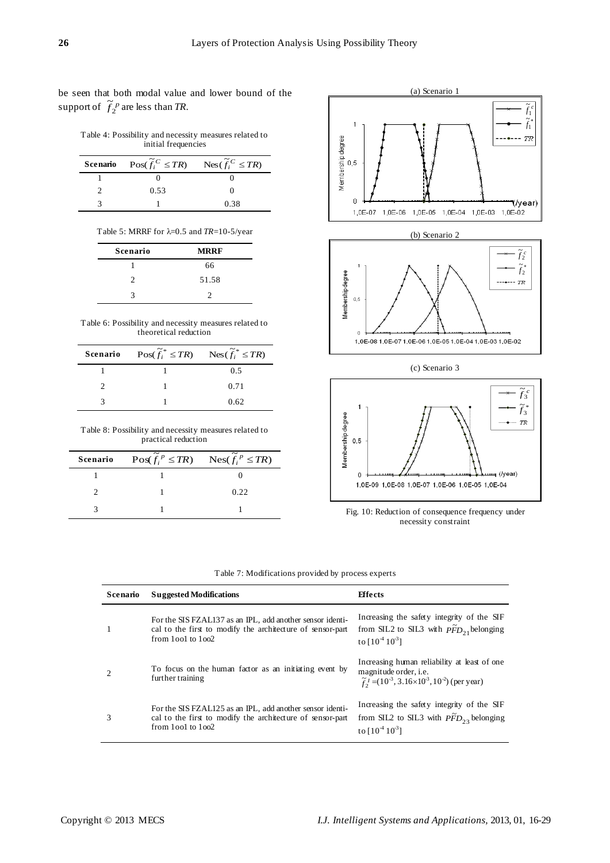be seen that both modal value and lower bound of the support of  $\widetilde{f}_2^{\ p}$  $\tilde{f}_2^p$  are less than *TR*.

Table 4: Possibility and necessity measures related to initial frequencies

| <b>Scenario</b> $\text{Pos}(\widetilde{f_i}^C \leq TR)$ $\text{Nes}(\widetilde{f_i}^C \leq TR)$ |      |
|-------------------------------------------------------------------------------------------------|------|
|                                                                                                 |      |
| 0.53                                                                                            |      |
|                                                                                                 | 0.38 |

|  |  | Table 5: MRRF for $\lambda$ =0.5 and TR=10-5/year |  |  |  |  |  |  |
|--|--|---------------------------------------------------|--|--|--|--|--|--|
|--|--|---------------------------------------------------|--|--|--|--|--|--|

| Scenario | <b>MRRF</b> |
|----------|-------------|
|          | 66          |
| 2        | 51.58       |
| 2        |             |

| Table 6: Possibility and necessity measures related to |
|--------------------------------------------------------|
| theoretical reduction                                  |

| <b>Scenario</b> $\text{Pos}(\widetilde{f}_i^* \leq TR)$ $\text{Nes}(\widetilde{f}_i^* \leq TR)$ |      |
|-------------------------------------------------------------------------------------------------|------|
|                                                                                                 | 0.5  |
|                                                                                                 | 0.71 |
|                                                                                                 | 0.62 |

Table 8: Possibility and necessity measures related to practical reduction

| <b>Scenario</b> $\operatorname{Pos}(\tilde{f_i}^p \leq TR)$ $\operatorname{Nes}(\tilde{f_i}^p \leq TR)$ |      |
|---------------------------------------------------------------------------------------------------------|------|
|                                                                                                         |      |
|                                                                                                         | 0.22 |
|                                                                                                         |      |

(a) Scenario 1  $\overline{\tilde{f}_1^c}$  $\tilde{f}_1^*$  $\overline{1}$ Membership degree<br>| O<br>| On  $T\!R$  $\overline{0}$ (/year) 1,0E-05 1,0E-04 1,0E-03 1,0E-02 1,0E-07 1,0E-06 (b) Scenario 2  $\overline{\widetilde{f}_2^c}$  $\mathbf{1}$  $\tilde{f}_2^*$ Membership degree  $--- + - - TR$  $0,5$  $\mathbf{0}$ 1,0E-08 1,0E-07 1,0E-06 1,0E-05 1,0E-04 1,0E-03 1,0E-02 (c) Scenario 3





| <b>Scenario</b> | <b>Suggested Modifications</b>                                                                                                                   | <b>Effects</b>                                                                                                                                                               |
|-----------------|--------------------------------------------------------------------------------------------------------------------------------------------------|------------------------------------------------------------------------------------------------------------------------------------------------------------------------------|
|                 | For the SIS FZAL137 as an IPL, add another sensor identi-<br>cal to the first to modify the architecture of sensor-part<br>from $1001$ to $1002$ | Increasing the safety integrity of the SIF<br>from SIL2 to SIL3 with $\tilde{PFD}_{21}$ belonging<br>to $[10^4 10^3]$                                                        |
|                 | To focus on the human factor as an initiating event by<br>further training                                                                       | Increasing human reliability at least of one.<br>magnitude order, <i>i.e.</i><br>$\tilde{f}_2^1$ = (10 <sup>-3</sup> , 3.16×10 <sup>-3</sup> , 10 <sup>-2</sup> ) (per year) |
| 3               | For the SIS FZAL125 as an IPL, add another sensor identi-<br>cal to the first to modify the architecture of sensor-part<br>from $1001$ to $1002$ | Increasing the safety integrity of the SIF<br>from SIL2 to SIL3 with $\tilde{PFD}_{23}$ belonging<br>to $[10^4 10^3]$                                                        |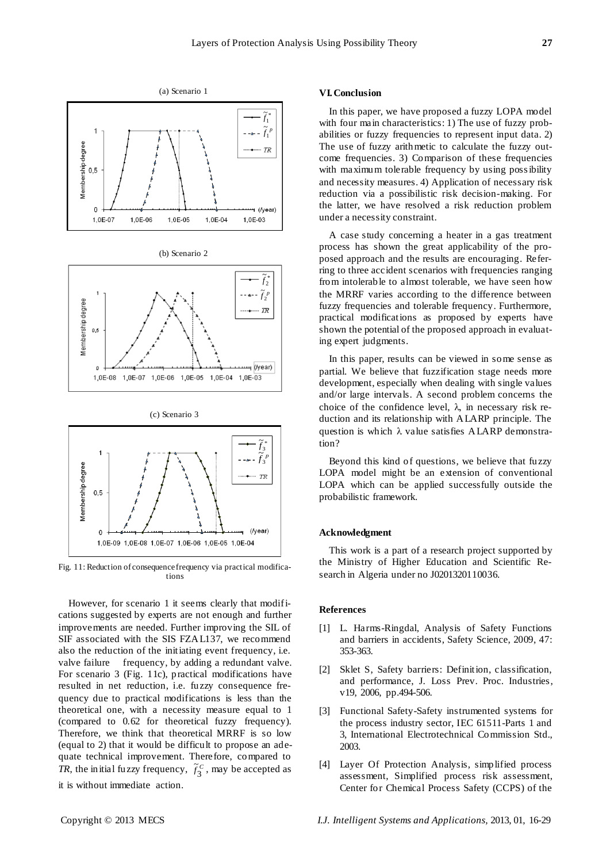



(c) Scenario 3



Fig. 11: Reduction of consequence frequency via practical modifications

However, for scenario 1 it seems clearly that modifications suggested by experts are not enough and further improvements are needed. Further improving the SIL of SIF associated with the SIS FZAL137, we recommend also the reduction of the initiating event frequency, i.e. valve failure frequency, by adding a redundant valve. For scenario 3 (Fig. 11c), practical modifications have resulted in net reduction, i.e. fuzzy consequence frequency due to practical modifications is less than the theoretical one, with a necessity measure equal to 1 (compared to 0.62 for theoretical fuzzy frequency). Therefore, we think that theoretical MRRF is so low (equal to 2) that it would be difficult to propose an adequate technical improvement. Therefore, compared to *TR*, the initial fuzzy frequency,  $\tilde{f}_3^C$  $\tilde{f}_2^c$ , may be accepted as it is without immediate action.

#### **VI.Conclusion**

In this paper, we have proposed a fuzzy LOPA model with four main characteristics: 1) The use of fuzzy probabilities or fuzzy frequencies to represent input data. 2) The use of fuzzy arithmetic to calculate the fuzzy outcome frequencies. 3) Comparison of these frequencies with maximum tolerable frequency by using possibility and necessity measures. 4) Application of necessary risk reduction via a possibilistic risk decision-making. For the latter, we have resolved a risk reduction problem under a necessity constraint.

A case study concerning a heater in a gas treatment process has shown the great applicability of the proposed approach and the results are encouraging. Referring to three accident scenarios with frequencies ranging from intolerable to almost tolerable, we have seen how the MRRF varies according to the difference between fuzzy frequencies and tolerable frequency. Furthermore, practical modifications as proposed by experts have shown the potential of the proposed approach in evaluating expert judgments.

In this paper, results can be viewed in some sense as partial. We believe that fuzzification stage needs more development, especially when dealing with single values and/or large intervals. A second problem concerns the choice of the confidence level,  $\lambda$ , in necessary risk reduction and its relationship with ALARP principle. The question is which  $\lambda$  value satisfies ALARP demonstration?

Beyond this kind of questions, we believe that fuzzy LOPA model might be an extension of conventional LOPA which can be applied successfully outside the probabilistic framework.

## **Acknowledgment**

This work is a part of a research project supported by the Ministry of Higher Education and Scientific Research in Algeria under no J0201320110036.

# **References**

- [1] L. Harms-Ringdal, Analysis of Safety Functions and barriers in accidents, Safety Science, 2009, 47: 353-363.
- [2] Sklet S, Safety barriers: Definition, classification, and performance, J. Loss Prev. Proc. Industries, v19, 2006, pp.494-506.
- [3] Functional Safety-Safety instrumented systems for the process industry sector, IEC 61511-Parts 1 and 3, International Electrotechnical Commission Std., 2003.
- [4] Layer Of Protection Analysis, simplified process assessment, Simplified process risk assessment, Center for Chemical Process Safety (CCPS) of the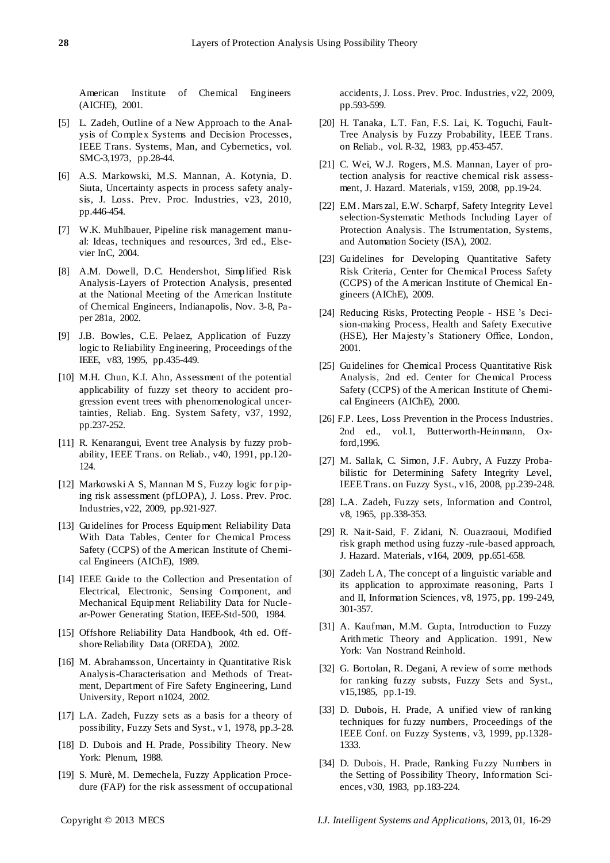American Institute of Chemical Engineers (AICHE), 2001.

- [5] L. Zadeh, Outline of a New Approach to the Analysis of Complex Systems and Decision Processes, IEEE Trans. Systems, Man, and Cybernetics, vol. SMC-3,1973, pp.28-44.
- [6] A.S. Markowski, M.S. Mannan, A. Kotynia, D. Siuta, Uncertainty aspects in process safety analysis, J. Loss. Prev. Proc. Industries, v23, 2010, pp.446-454.
- [7] W.K. Muhlbauer, Pipeline risk management manual: Ideas, techniques and resources, 3rd ed., Elsevier InC, 2004.
- [8] A.M. Dowell, D.C. Hendershot, Simplified Risk Analysis-Layers of Protection Analysis, presented at the National Meeting of the American Institute of Chemical Engineers, Indianapolis, Nov. 3-8, Paper 281a, 2002.
- [9] J.B. Bowles, C.E. Pelaez, Application of Fuzzy logic to Reliability Engineering, Proceedings of the IEEE, v83, 1995, pp.435-449.
- [10] M.H. Chun, K.I. Ahn, Assessment of the potential applicability of fuzzy set theory to accident progression event trees with phenomenological uncertainties, Reliab. Eng. System Safety, v37, 1992, pp.237-252.
- [11] R. Kenarangui, Event tree Analysis by fuzzy probability, IEEE Trans. on Reliab., v40, 1991, pp.120- 124.
- [12] Markowski A S, Mannan M S, Fuzzy logic for piping risk assessment (pfLOPA), J. Loss. Prev. Proc. Industries, v22, 2009, pp.921-927.
- [13] Guidelines for Process Equipment Reliability Data With Data Tables, Center for Chemical Process Safety (CCPS) of the American Institute of Chemical Engineers (AIChE), 1989.
- [14] IEEE Guide to the Collection and Presentation of Electrical, Electronic, Sensing Component, and Mechanical Equipment Reliability Data for Nuclear-Power Generating Station, IEEE-Std-500, 1984.
- [15] Offshore Reliability Data Handbook, 4th ed. Offshore Reliability Data (OREDA), 2002.
- [16] M. Abrahamsson, Uncertainty in Quantitative Risk Analysis-Characterisation and Methods of Treatment, Department of Fire Safety Engineering, Lund University, Report n1024, 2002.
- [17] L.A. Zadeh, Fuzzy sets as a basis for a theory of possibility, Fuzzy Sets and Syst., v1, 1978, pp.3-28.
- [18] D. Dubois and H. Prade, Possibility Theory. New York: Plenum, 1988.
- [19] S. Murè, M. Demechela, Fuzzy Application Procedure (FAP) for the risk assessment of occupational

accidents, J. Loss. Prev. Proc. Industries, v22, 2009, pp.593-599.

- [20] H. Tanaka, L.T. Fan, F.S. Lai, K. Toguchi, Fault-Tree Analysis by Fuzzy Probability, IEEE Trans. on Reliab., vol. R-32, 1983, pp.453-457.
- [21] C. Wei, W.J. Rogers, M.S. Mannan, Layer of protection analysis for reactive chemical risk assessment, J. Hazard. Materials, v159, 2008, pp.19-24.
- [22] E.M. Mars zal, E.W. Scharpf, Safety Integrity Level selection-Systematic Methods Including Layer of Protection Analysis. The Istrumentation, Systems, and Automation Society (ISA), 2002.
- [23] Guidelines for Developing Quantitative Safety Risk Criteria, Center for Chemical Process Safety (CCPS) of the American Institute of Chemical Engineers (AIChE), 2009.
- [24] Reducing Risks, Protecting People HSE 's Decision-making Process, Health and Safety Executive (HSE), Her Majesty's Stationery Office, London, 2001.
- [25] Guidelines for Chemical Process Quantitative Risk Analysis, 2nd ed. Center for Chemical Process Safety (CCPS) of the American Institute of Chemical Engineers (AIChE), 2000.
- [26] F.P. Lees, Loss Prevention in the Process Industries. 2nd ed., vol.1, Butterworth-Heinmann, Oxford,1996.
- [27] M. Sallak, C. Simon, J.F. Aubry, A Fuzzy Probabilistic for Determining Safety Integrity Level, IEEE Trans. on Fuzzy Syst., v16, 2008, pp.239-248.
- [28] L.A. Zadeh, Fuzzy sets, Information and Control, v8, 1965, pp.338-353.
- [29] R. Nait-Said, F. Zidani, N. Ouazraoui, Modified risk graph method using fuzzy -rule-based approach, J. Hazard. Materials, v164, 2009, pp.651-658.
- [30] Zadeh LA, The concept of a linguistic variable and its application to approximate reasoning, Parts I and II, Information Sciences, v8, 1975, pp. 199-249, 301-357.
- [31] A. Kaufman, M.M. Gupta, Introduction to Fuzzy Arithmetic Theory and Application. 1991, New York: Van Nostrand Reinhold.
- [32] G. Bortolan, R. Degani, A review of some methods for ranking fuzzy substs, Fuzzy Sets and Syst., v15,1985, pp.1-19.
- [33] D. Dubois, H. Prade, A unified view of ranking techniques for fuzzy numbers, Proceedings of the IEEE Conf. on Fuzzy Systems, v3, 1999, pp.1328- 1333.
- [34] D. Dubois, H. Prade, Ranking Fuzzy Numbers in the Setting of Possibility Theory, Information Sciences, v30, 1983, pp.183-224.